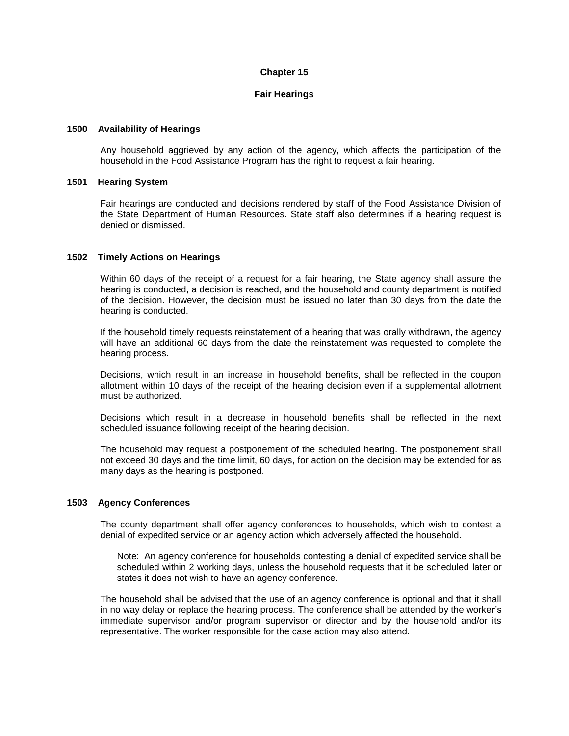# **Chapter 15**

## **Fair Hearings**

## **1500 Availability of Hearings**

Any household aggrieved by any action of the agency, which affects the participation of the household in the Food Assistance Program has the right to request a fair hearing.

#### **1501 Hearing System**

Fair hearings are conducted and decisions rendered by staff of the Food Assistance Division of the State Department of Human Resources. State staff also determines if a hearing request is denied or dismissed.

## **1502 Timely Actions on Hearings**

Within 60 days of the receipt of a request for a fair hearing, the State agency shall assure the hearing is conducted, a decision is reached, and the household and county department is notified of the decision. However, the decision must be issued no later than 30 days from the date the hearing is conducted.

If the household timely requests reinstatement of a hearing that was orally withdrawn, the agency will have an additional 60 days from the date the reinstatement was requested to complete the hearing process.

Decisions, which result in an increase in household benefits, shall be reflected in the coupon allotment within 10 days of the receipt of the hearing decision even if a supplemental allotment must be authorized.

Decisions which result in a decrease in household benefits shall be reflected in the next scheduled issuance following receipt of the hearing decision.

The household may request a postponement of the scheduled hearing. The postponement shall not exceed 30 days and the time limit, 60 days, for action on the decision may be extended for as many days as the hearing is postponed.

#### **1503 Agency Conferences**

The county department shall offer agency conferences to households, which wish to contest a denial of expedited service or an agency action which adversely affected the household.

Note: An agency conference for households contesting a denial of expedited service shall be scheduled within 2 working days, unless the household requests that it be scheduled later or states it does not wish to have an agency conference.

The household shall be advised that the use of an agency conference is optional and that it shall in no way delay or replace the hearing process. The conference shall be attended by the worker's immediate supervisor and/or program supervisor or director and by the household and/or its representative. The worker responsible for the case action may also attend.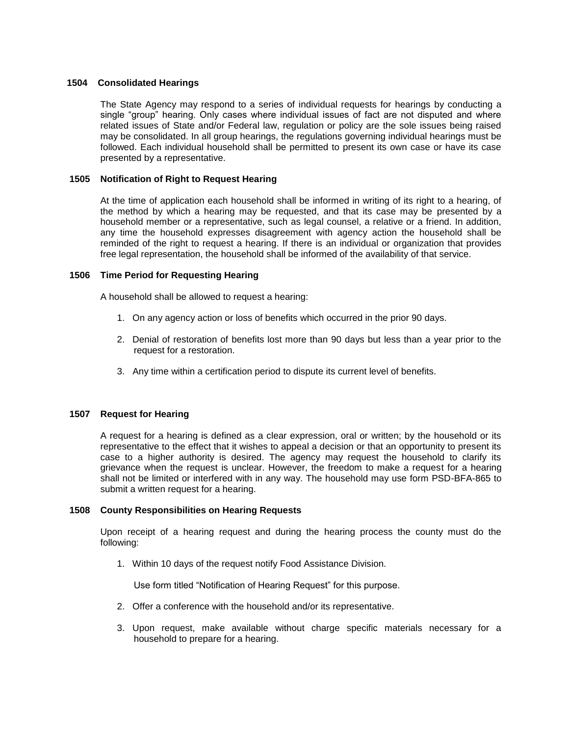## **1504 Consolidated Hearings**

The State Agency may respond to a series of individual requests for hearings by conducting a single "group" hearing. Only cases where individual issues of fact are not disputed and where related issues of State and/or Federal law, regulation or policy are the sole issues being raised may be consolidated. In all group hearings, the regulations governing individual hearings must be followed. Each individual household shall be permitted to present its own case or have its case presented by a representative.

## **1505 Notification of Right to Request Hearing**

At the time of application each household shall be informed in writing of its right to a hearing, of the method by which a hearing may be requested, and that its case may be presented by a household member or a representative, such as legal counsel, a relative or a friend. In addition, any time the household expresses disagreement with agency action the household shall be reminded of the right to request a hearing. If there is an individual or organization that provides free legal representation, the household shall be informed of the availability of that service.

## **1506 Time Period for Requesting Hearing**

A household shall be allowed to request a hearing:

- 1. On any agency action or loss of benefits which occurred in the prior 90 days.
- 2. Denial of restoration of benefits lost more than 90 days but less than a year prior to the request for a restoration.
- 3. Any time within a certification period to dispute its current level of benefits.

## **1507 Request for Hearing**

A request for a hearing is defined as a clear expression, oral or written; by the household or its representative to the effect that it wishes to appeal a decision or that an opportunity to present its case to a higher authority is desired. The agency may request the household to clarify its grievance when the request is unclear. However, the freedom to make a request for a hearing shall not be limited or interfered with in any way. The household may use form PSD-BFA-865 to submit a written request for a hearing.

#### **1508 County Responsibilities on Hearing Requests**

Upon receipt of a hearing request and during the hearing process the county must do the following:

1. Within 10 days of the request notify Food Assistance Division.

Use form titled "Notification of Hearing Request" for this purpose.

- 2. Offer a conference with the household and/or its representative.
- 3. Upon request, make available without charge specific materials necessary for a household to prepare for a hearing.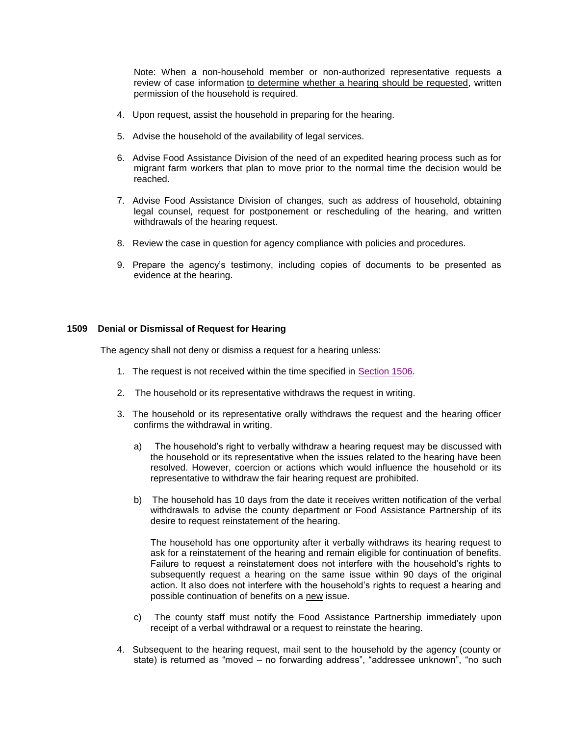Note: When a non-household member or non-authorized representative requests a review of case information to determine whether a hearing should be requested, written permission of the household is required.

- 4. Upon request, assist the household in preparing for the hearing.
- 5. Advise the household of the availability of legal services.
- 6. Advise Food Assistance Division of the need of an expedited hearing process such as for migrant farm workers that plan to move prior to the normal time the decision would be reached.
- 7. Advise Food Assistance Division of changes, such as address of household, obtaining legal counsel, request for postponement or rescheduling of the hearing, and written withdrawals of the hearing request.
- 8. Review the case in question for agency compliance with policies and procedures.
- 9. Prepare the agency's testimony, including copies of documents to be presented as evidence at the hearing.

## **1509 Denial or Dismissal of Request for Hearing**

The agency shall not deny or dismiss a request for a hearing unless:

- 1. The request is not received within the time specified in [Section 1506.](http://dhr.alabama.gov/POE/chapter/CHAPTER%20151.htm#Section_1506)
- 2. The household or its representative withdraws the request in writing.
- 3. The household or its representative orally withdraws the request and the hearing officer confirms the withdrawal in writing.
	- a) The household's right to verbally withdraw a hearing request may be discussed with the household or its representative when the issues related to the hearing have been resolved. However, coercion or actions which would influence the household or its representative to withdraw the fair hearing request are prohibited.
	- b) The household has 10 days from the date it receives written notification of the verbal withdrawals to advise the county department or Food Assistance Partnership of its desire to request reinstatement of the hearing.

The household has one opportunity after it verbally withdraws its hearing request to ask for a reinstatement of the hearing and remain eligible for continuation of benefits. Failure to request a reinstatement does not interfere with the household's rights to subsequently request a hearing on the same issue within 90 days of the original action. It also does not interfere with the household's rights to request a hearing and possible continuation of benefits on a new issue.

- c) The county staff must notify the Food Assistance Partnership immediately upon receipt of a verbal withdrawal or a request to reinstate the hearing.
- 4. Subsequent to the hearing request, mail sent to the household by the agency (county or state) is returned as "moved – no forwarding address", "addressee unknown", "no such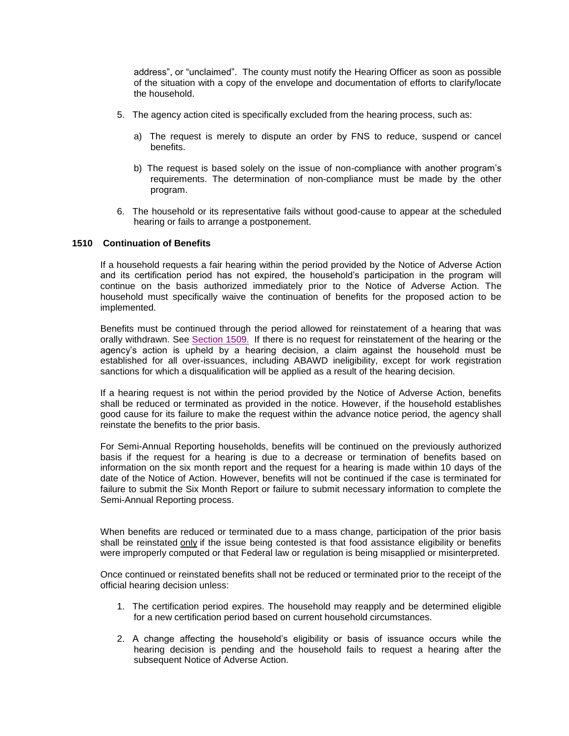address", or "unclaimed". The county must notify the Hearing Officer as soon as possible of the situation with a copy of the envelope and documentation of efforts to clarify/locate the household.

- 5. The agency action cited is specifically excluded from the hearing process, such as:
	- a) The request is merely to dispute an order by FNS to reduce, suspend or cancel benefits.
	- b) The request is based solely on the issue of non-compliance with another program's requirements. The determination of non-compliance must be made by the other program.
- 6. The household or its representative fails without good-cause to appear at the scheduled hearing or fails to arrange a postponement.

## **1510 Continuation of Benefits**

If a household requests a fair hearing within the period provided by the Notice of Adverse Action and its certification period has not expired, the household's participation in the program will continue on the basis authorized immediately prior to the Notice of Adverse Action. The household must specifically waive the continuation of benefits for the proposed action to be implemented.

Benefits must be continued through the period allowed for reinstatement of a hearing that was orally withdrawn. See [Section 1509.](http://dhr.alabama.gov/POE/chapter/CHAPTER%20151.htm#Section_1509) If there is no request for reinstatement of the hearing or the agency's action is upheld by a hearing decision, a claim against the household must be established for all over-issuances, including ABAWD ineligibility, except for work registration sanctions for which a disqualification will be applied as a result of the hearing decision.

If a hearing request is not within the period provided by the Notice of Adverse Action, benefits shall be reduced or terminated as provided in the notice. However, if the household establishes good cause for its failure to make the request within the advance notice period, the agency shall reinstate the benefits to the prior basis.

For Semi-Annual Reporting households, benefits will be continued on the previously authorized basis if the request for a hearing is due to a decrease or termination of benefits based on information on the six month report and the request for a hearing is made within 10 days of the date of the Notice of Action. However, benefits will not be continued if the case is terminated for failure to submit the Six Month Report or failure to submit necessary information to complete the Semi-Annual Reporting process.

When benefits are reduced or terminated due to a mass change, participation of the prior basis shall be reinstated only if the issue being contested is that food assistance eligibility or benefits were improperly computed or that Federal law or regulation is being misapplied or misinterpreted.

Once continued or reinstated benefits shall not be reduced or terminated prior to the receipt of the official hearing decision unless:

- 1. The certification period expires. The household may reapply and be determined eligible for a new certification period based on current household circumstances.
- 2. A change affecting the household's eligibility or basis of issuance occurs while the hearing decision is pending and the household fails to request a hearing after the subsequent Notice of Adverse Action.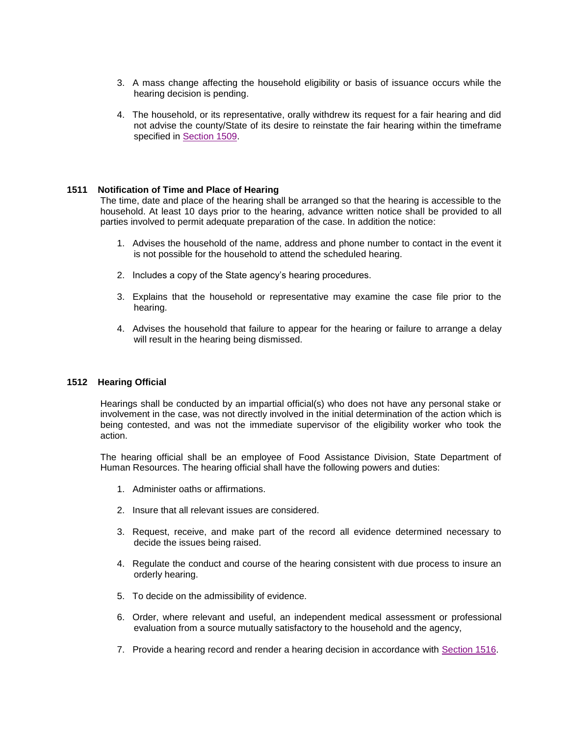- 3. A mass change affecting the household eligibility or basis of issuance occurs while the hearing decision is pending.
- 4. The household, or its representative, orally withdrew its request for a fair hearing and did not advise the county/State of its desire to reinstate the fair hearing within the timeframe specified in [Section 1509.](http://dhr.alabama.gov/POE/chapter/CHAPTER%20151.htm#Section_1509)

## **1511 Notification of Time and Place of Hearing**

The time, date and place of the hearing shall be arranged so that the hearing is accessible to the household. At least 10 days prior to the hearing, advance written notice shall be provided to all parties involved to permit adequate preparation of the case. In addition the notice:

- 1. Advises the household of the name, address and phone number to contact in the event it is not possible for the household to attend the scheduled hearing.
- 2. Includes a copy of the State agency's hearing procedures.
- 3. Explains that the household or representative may examine the case file prior to the hearing.
- 4. Advises the household that failure to appear for the hearing or failure to arrange a delay will result in the hearing being dismissed.

#### **1512 Hearing Official**

Hearings shall be conducted by an impartial official(s) who does not have any personal stake or involvement in the case, was not directly involved in the initial determination of the action which is being contested, and was not the immediate supervisor of the eligibility worker who took the action.

The hearing official shall be an employee of Food Assistance Division, State Department of Human Resources. The hearing official shall have the following powers and duties:

- 1. Administer oaths or affirmations.
- 2. Insure that all relevant issues are considered.
- 3. Request, receive, and make part of the record all evidence determined necessary to decide the issues being raised.
- 4. Regulate the conduct and course of the hearing consistent with due process to insure an orderly hearing.
- 5. To decide on the admissibility of evidence.
- 6. Order, where relevant and useful, an independent medical assessment or professional evaluation from a source mutually satisfactory to the household and the agency,
- 7. Provide a hearing record and render a hearing decision in accordance with [Section 1516.](http://dhr.alabama.gov/POE/chapter/CHAPTER%20151.htm#Section_1516)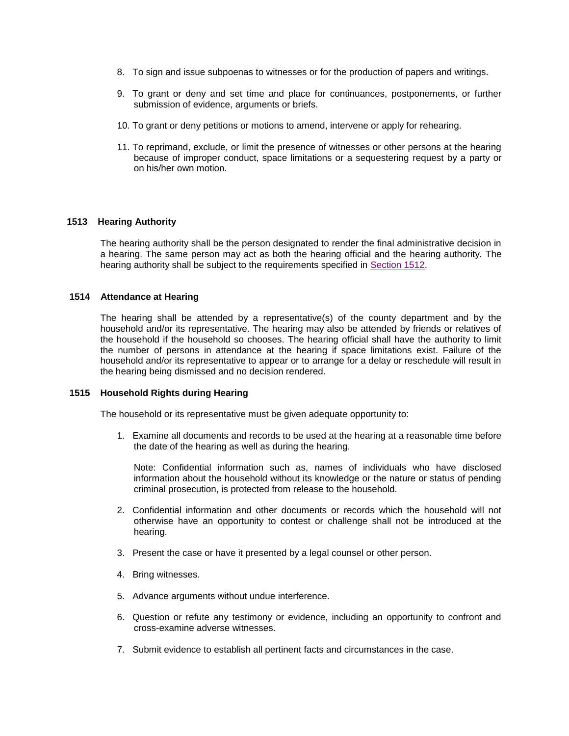- 8. To sign and issue subpoenas to witnesses or for the production of papers and writings.
- 9. To grant or deny and set time and place for continuances, postponements, or further submission of evidence, arguments or briefs.
- 10. To grant or deny petitions or motions to amend, intervene or apply for rehearing.
- 11. To reprimand, exclude, or limit the presence of witnesses or other persons at the hearing because of improper conduct, space limitations or a sequestering request by a party or on his/her own motion.

## **1513 Hearing Authority**

The hearing authority shall be the person designated to render the final administrative decision in a hearing. The same person may act as both the hearing official and the hearing authority. The hearing authority shall be subject to the requirements specified in [Section 1512.](http://dhr.alabama.gov/POE/chapter/CHAPTER%20151.htm#Section_1512)

## **1514 Attendance at Hearing**

The hearing shall be attended by a representative(s) of the county department and by the household and/or its representative. The hearing may also be attended by friends or relatives of the household if the household so chooses. The hearing official shall have the authority to limit the number of persons in attendance at the hearing if space limitations exist. Failure of the household and/or its representative to appear or to arrange for a delay or reschedule will result in the hearing being dismissed and no decision rendered.

#### **1515 Household Rights during Hearing**

The household or its representative must be given adequate opportunity to:

1. Examine all documents and records to be used at the hearing at a reasonable time before the date of the hearing as well as during the hearing.

Note: Confidential information such as, names of individuals who have disclosed information about the household without its knowledge or the nature or status of pending criminal prosecution, is protected from release to the household.

- 2. Confidential information and other documents or records which the household will not otherwise have an opportunity to contest or challenge shall not be introduced at the hearing.
- 3. Present the case or have it presented by a legal counsel or other person.
- 4. Bring witnesses.
- 5. Advance arguments without undue interference.
- 6. Question or refute any testimony or evidence, including an opportunity to confront and cross-examine adverse witnesses.
- 7. Submit evidence to establish all pertinent facts and circumstances in the case.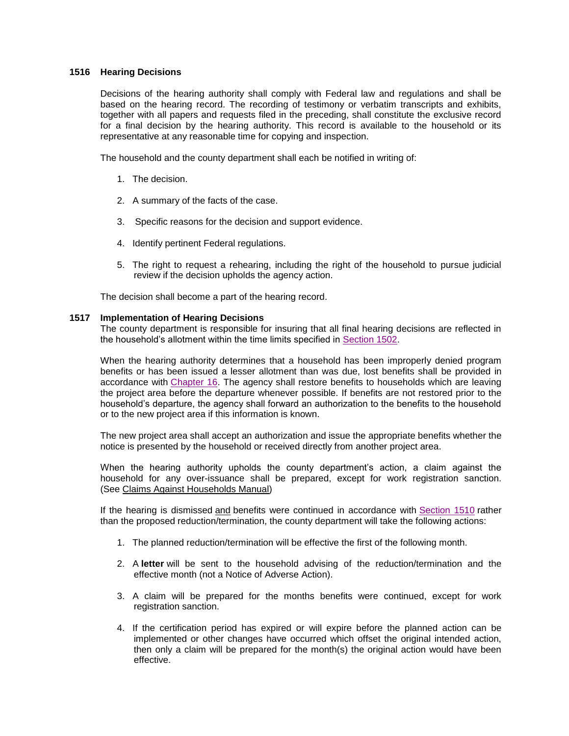# **1516 Hearing Decisions**

Decisions of the hearing authority shall comply with Federal law and regulations and shall be based on the hearing record. The recording of testimony or verbatim transcripts and exhibits, together with all papers and requests filed in the preceding, shall constitute the exclusive record for a final decision by the hearing authority. This record is available to the household or its representative at any reasonable time for copying and inspection.

The household and the county department shall each be notified in writing of:

- 1. The decision.
- 2. A summary of the facts of the case.
- 3. Specific reasons for the decision and support evidence.
- 4. Identify pertinent Federal regulations.
- 5. The right to request a rehearing, including the right of the household to pursue judicial review if the decision upholds the agency action.

The decision shall become a part of the hearing record.

# **1517 Implementation of Hearing Decisions**

The county department is responsible for insuring that all final hearing decisions are reflected in the household's allotment within the time limits specified in [Section 1502.](http://dhr.alabama.gov/POE/chapter/CHAPTER%20151.htm#Section_1502)

When the hearing authority determines that a household has been improperly denied program benefits or has been issued a lesser allotment than was due, lost benefits shall be provided in accordance with [Chapter 16.](http://dhr.alabama.gov/POE/chapter/CHAPTER%20161.htm#Chapter_16) The agency shall restore benefits to households which are leaving the project area before the departure whenever possible. If benefits are not restored prior to the household's departure, the agency shall forward an authorization to the benefits to the household or to the new project area if this information is known.

The new project area shall accept an authorization and issue the appropriate benefits whether the notice is presented by the household or received directly from another project area.

When the hearing authority upholds the county department's action, a claim against the household for any over-issuance shall be prepared, except for work registration sanction. (See Claims Against Households Manual)

If the hearing is dismissed and benefits were continued in accordance with [Section 1510](http://dhr.alabama.gov/POE/chapter/CHAPTER%20151.htm#Section_1510) rather than the proposed reduction/termination, the county department will take the following actions:

- 1. The planned reduction/termination will be effective the first of the following month.
- 2. A **letter** will be sent to the household advising of the reduction/termination and the effective month (not a Notice of Adverse Action).
- 3. A claim will be prepared for the months benefits were continued, except for work registration sanction.
- 4. If the certification period has expired or will expire before the planned action can be implemented or other changes have occurred which offset the original intended action, then only a claim will be prepared for the month(s) the original action would have been effective.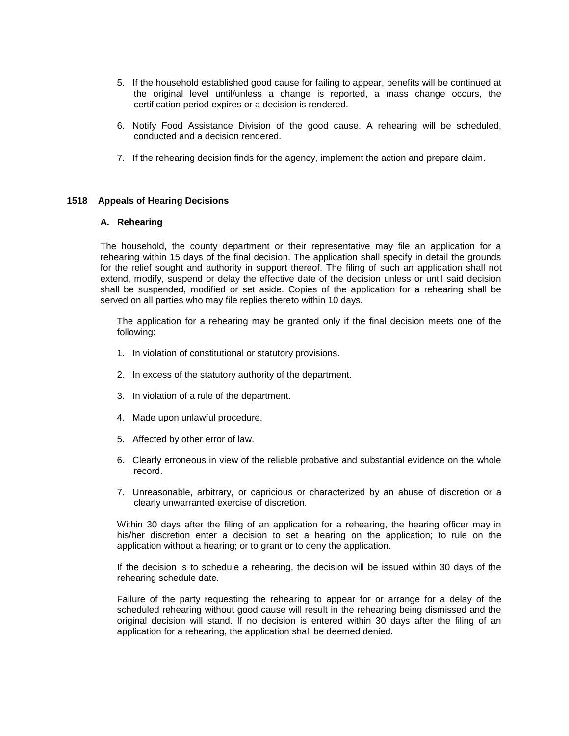- 5. If the household established good cause for failing to appear, benefits will be continued at the original level until/unless a change is reported, a mass change occurs, the certification period expires or a decision is rendered.
- 6. Notify Food Assistance Division of the good cause. A rehearing will be scheduled, conducted and a decision rendered.
- 7. If the rehearing decision finds for the agency, implement the action and prepare claim.

# **1518 Appeals of Hearing Decisions**

#### **A. Rehearing**

The household, the county department or their representative may file an application for a rehearing within 15 days of the final decision. The application shall specify in detail the grounds for the relief sought and authority in support thereof. The filing of such an application shall not extend, modify, suspend or delay the effective date of the decision unless or until said decision shall be suspended, modified or set aside. Copies of the application for a rehearing shall be served on all parties who may file replies thereto within 10 days.

The application for a rehearing may be granted only if the final decision meets one of the following:

- 1. In violation of constitutional or statutory provisions.
- 2. In excess of the statutory authority of the department.
- 3. In violation of a rule of the department.
- 4. Made upon unlawful procedure.
- 5. Affected by other error of law.
- 6. Clearly erroneous in view of the reliable probative and substantial evidence on the whole record.
- 7. Unreasonable, arbitrary, or capricious or characterized by an abuse of discretion or a clearly unwarranted exercise of discretion.

Within 30 days after the filing of an application for a rehearing, the hearing officer may in his/her discretion enter a decision to set a hearing on the application; to rule on the application without a hearing; or to grant or to deny the application.

If the decision is to schedule a rehearing, the decision will be issued within 30 days of the rehearing schedule date.

Failure of the party requesting the rehearing to appear for or arrange for a delay of the scheduled rehearing without good cause will result in the rehearing being dismissed and the original decision will stand. If no decision is entered within 30 days after the filing of an application for a rehearing, the application shall be deemed denied.